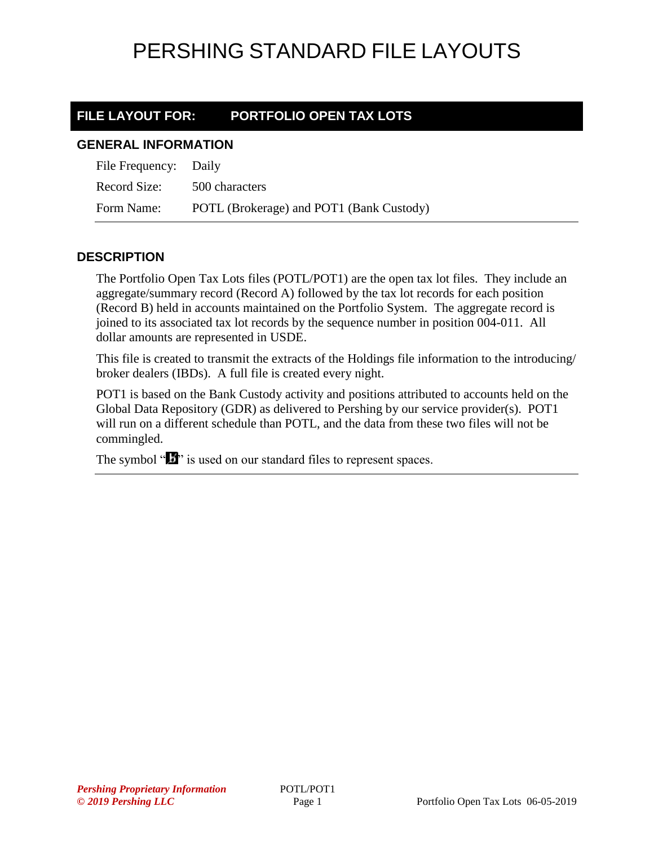### **FILE LAYOUT FOR: PORTFOLIO OPEN TAX LOTS**

#### **GENERAL INFORMATION**

| File Frequency: Daily |                                          |
|-----------------------|------------------------------------------|
| Record Size:          | 500 characters                           |
| Form Name:            | POTL (Brokerage) and POT1 (Bank Custody) |

### **DESCRIPTION**

The Portfolio Open Tax Lots files (POTL/POT1) are the open tax lot files. They include an aggregate/summary record (Record A) followed by the tax lot records for each position (Record B) held in accounts maintained on the Portfolio System. The aggregate record is joined to its associated tax lot records by the sequence number in position 004-011. All dollar amounts are represented in USDE.

This file is created to transmit the extracts of the Holdings file information to the introducing/ broker dealers (IBDs). A full file is created every night.

POT1 is based on the Bank Custody activity and positions attributed to accounts held on the Global Data Repository (GDR) as delivered to Pershing by our service provider(s). POT1 will run on a different schedule than POTL, and the data from these two files will not be commingled.

The symbol " $\mathbf{B}$ " is used on our standard files to represent spaces.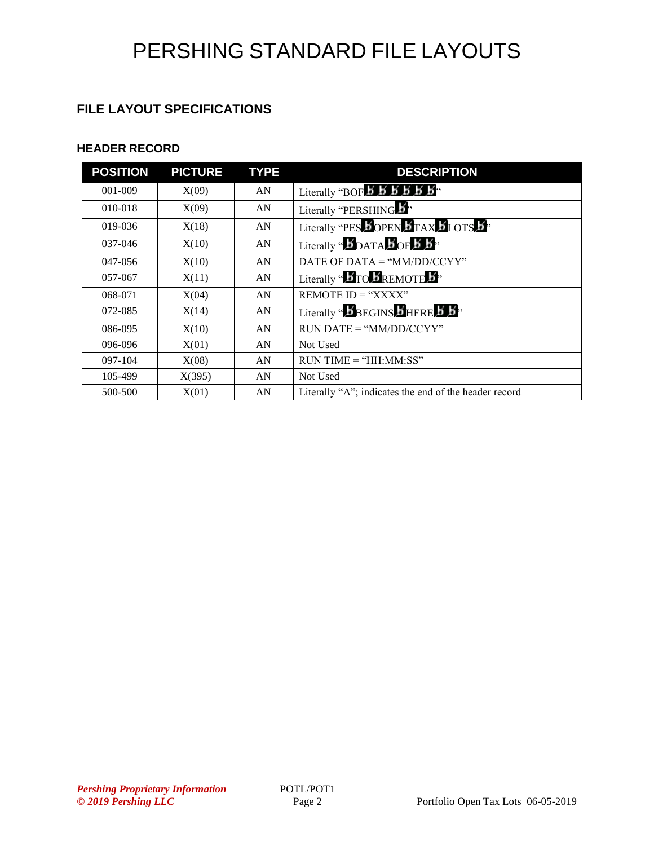### **FILE LAYOUT SPECIFICATIONS**

### **HEADER RECORD**

| <b>POSITION</b> | <b>PICTURE</b> | <b>TYPE</b> | <b>DESCRIPTION</b>                                                                              |
|-----------------|----------------|-------------|-------------------------------------------------------------------------------------------------|
| 001-009         | X(09)          | AN          | Literally "BOF $\cancel{B}$ $\cancel{B}$ $\cancel{B}$ $\cancel{B}$ $\cancel{B}$ $\cancel{B}$ ". |
| 010-018         | X(09)          | AN          | Literally "PERSHING."                                                                           |
| 019-036         | X(18)          | AN          | Literally "PES DOPEN DTAX DLOTS B"                                                              |
| 037-046         | X(10)          | AN          | Literally "DDATA BOF 5 5"                                                                       |
| 047-056         | X(10)          | AN          | DATE OF DATA = " $MM/DD/CCYY"$                                                                  |
| 057-067         | X(11)          | AN          | Literally " $\bm{B}$ TO $\bm{B}$ REMOTE $\bm{B}$ "                                              |
| 068-071         | X(04)          | AN          | REMOTE $ID = "XXX"$                                                                             |
| 072-085         | X(14)          | AN          | Literally " <b>BEGINS BHERE B</b> .                                                             |
| 086-095         | X(10)          | AN          | $RUN\ DATE = "MM/DD/CCYY"$                                                                      |
| 096-096         | X(01)          | AN          | Not Used                                                                                        |
| 097-104         | X(08)          | AN          | $RUN TIME = "HH:MM:SS"$                                                                         |
| 105-499         | X(395)         | AN          | Not Used                                                                                        |
| 500-500         | X(01)          | AN          | Literally "A"; indicates the end of the header record                                           |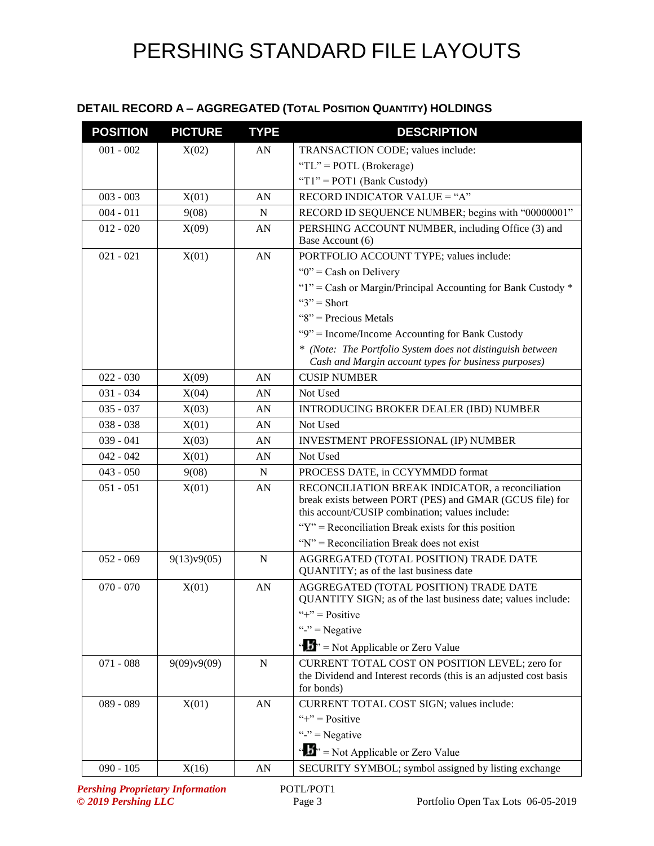### **DETAIL RECORD A – AGGREGATED (TOTAL POSITION QUANTITY) HOLDINGS**

| <b>POSITION</b> | <b>PICTURE</b> | <b>TYPE</b>      | <b>DESCRIPTION</b>                                                                                                                                              |
|-----------------|----------------|------------------|-----------------------------------------------------------------------------------------------------------------------------------------------------------------|
| $001 - 002$     | X(02)          | AN               | TRANSACTION CODE; values include:                                                                                                                               |
|                 |                |                  | "TL" = $POTL$ (Brokerage)                                                                                                                                       |
|                 |                |                  | " $T1$ " = POT1 (Bank Custody)                                                                                                                                  |
| $003 - 003$     | X(01)          | AN               | RECORD INDICATOR VALUE = "A"                                                                                                                                    |
| $004 - 011$     | 9(08)          | N                | RECORD ID SEQUENCE NUMBER; begins with "00000001"                                                                                                               |
| $012 - 020$     | X(09)          | AN               | PERSHING ACCOUNT NUMBER, including Office (3) and                                                                                                               |
|                 |                |                  | Base Account (6)                                                                                                                                                |
| $021 - 021$     | X(01)          | ${\bf A}{\bf N}$ | PORTFOLIO ACCOUNT TYPE; values include:                                                                                                                         |
|                 |                |                  | " $0$ " = Cash on Delivery"                                                                                                                                     |
|                 |                |                  | "1" = Cash or Margin/Principal Accounting for Bank Custody $*$                                                                                                  |
|                 |                |                  | " $3"$ " = Short                                                                                                                                                |
|                 |                |                  | " $8$ " = Precious Metals                                                                                                                                       |
|                 |                |                  | "9" = Income/Income Accounting for Bank Custody                                                                                                                 |
|                 |                |                  | * (Note: The Portfolio System does not distinguish between<br>Cash and Margin account types for business purposes)                                              |
| $022 - 030$     | X(09)          | AN               | <b>CUSIP NUMBER</b>                                                                                                                                             |
| $031 - 034$     | X(04)          | AN               | Not Used                                                                                                                                                        |
| $035 - 037$     | X(03)          | AN               | <b>INTRODUCING BROKER DEALER (IBD) NUMBER</b>                                                                                                                   |
| $038 - 038$     | X(01)          | AN               | Not Used                                                                                                                                                        |
| $039 - 041$     | X(03)          | AN               | INVESTMENT PROFESSIONAL (IP) NUMBER                                                                                                                             |
| $042 - 042$     | X(01)          | AN               | Not Used                                                                                                                                                        |
| $043 - 050$     | 9(08)          | $\mathbf N$      | PROCESS DATE, in CCYYMMDD format                                                                                                                                |
| $051 - 051$     | X(01)          | AN               | RECONCILIATION BREAK INDICATOR, a reconciliation<br>break exists between PORT (PES) and GMAR (GCUS file) for<br>this account/CUSIP combination; values include: |
|                 |                |                  | " $Y$ " = Reconciliation Break exists for this position                                                                                                         |
|                 |                |                  | " $N$ " = Reconciliation Break does not exist                                                                                                                   |
| $052 - 069$     | 9(13)v9(05)    | $\mathbf N$      | AGGREGATED (TOTAL POSITION) TRADE DATE<br>QUANTITY; as of the last business date                                                                                |
| $070 - 070$     | X(01)          | AN               | AGGREGATED (TOTAL POSITION) TRADE DATE<br>QUANTITY SIGN; as of the last business date; values include:                                                          |
|                 |                |                  | "+" = $Positive$                                                                                                                                                |
|                 |                |                  | "-" $=$ Negative                                                                                                                                                |
|                 |                |                  | " $\mathbf{F}$ " = Not Applicable or Zero Value                                                                                                                 |
| $071 - 088$     | 9(09)v9(09)    | ${\bf N}$        | CURRENT TOTAL COST ON POSITION LEVEL; zero for<br>the Dividend and Interest records (this is an adjusted cost basis<br>for bonds)                               |
| 089 - 089       | X(01)          | AN               | CURRENT TOTAL COST SIGN; values include:                                                                                                                        |
|                 |                |                  | "+" = $Positive$                                                                                                                                                |
|                 |                |                  | "-" = Negative                                                                                                                                                  |
|                 |                |                  | " $\mathbf{F}$ " = Not Applicable or Zero Value                                                                                                                 |
| $090 - 105$     | X(16)          | AN               | SECURITY SYMBOL; symbol assigned by listing exchange                                                                                                            |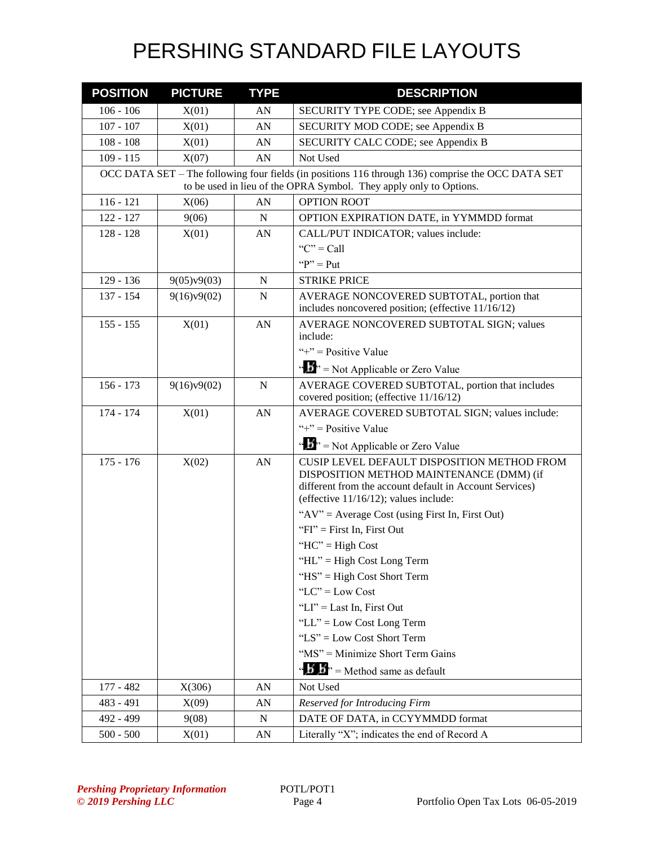| <b>POSITION</b> | <b>PICTURE</b> | <b>TYPE</b> | <b>DESCRIPTION</b>                                                                                                                                                                                    |
|-----------------|----------------|-------------|-------------------------------------------------------------------------------------------------------------------------------------------------------------------------------------------------------|
| $106 - 106$     | X(01)          | AN          | SECURITY TYPE CODE; see Appendix B                                                                                                                                                                    |
| $107 - 107$     | X(01)          | AN          | SECURITY MOD CODE; see Appendix B                                                                                                                                                                     |
| $108 - 108$     | X(01)          | AN          | SECURITY CALC CODE; see Appendix B                                                                                                                                                                    |
| $109 - 115$     | X(07)          | AN          | Not Used                                                                                                                                                                                              |
|                 |                |             | OCC DATA SET – The following four fields (in positions 116 through 136) comprise the OCC DATA SET<br>to be used in lieu of the OPRA Symbol. They apply only to Options.                               |
| $116 - 121$     | X(06)          | AN          | <b>OPTION ROOT</b>                                                                                                                                                                                    |
| $122 - 127$     | 9(06)          | N           | OPTION EXPIRATION DATE, in YYMMDD format                                                                                                                                                              |
| $128 - 128$     | X(01)          | AN          | CALL/PUT INDICATOR; values include:                                                                                                                                                                   |
|                 |                |             | " $C$ " = Call                                                                                                                                                                                        |
|                 |                |             | " $P$ " = Put                                                                                                                                                                                         |
| 129 - 136       | 9(05)v9(03)    | ${\bf N}$   | <b>STRIKE PRICE</b>                                                                                                                                                                                   |
| 137 - 154       | 9(16)v9(02)    | $\mathbf N$ | AVERAGE NONCOVERED SUBTOTAL, portion that<br>includes noncovered position; (effective 11/16/12)                                                                                                       |
| $155 - 155$     | X(01)          | AN          | AVERAGE NONCOVERED SUBTOTAL SIGN; values                                                                                                                                                              |
|                 |                |             | include:                                                                                                                                                                                              |
|                 |                |             | "+" = $Positive Value$                                                                                                                                                                                |
|                 |                |             | " $\mathbf{S}$ " = Not Applicable or Zero Value                                                                                                                                                       |
| $156 - 173$     | 9(16)v9(02)    | N           | AVERAGE COVERED SUBTOTAL, portion that includes<br>covered position; (effective 11/16/12)                                                                                                             |
| 174 - 174       | X(01)          | AN          | AVERAGE COVERED SUBTOTAL SIGN; values include:                                                                                                                                                        |
|                 |                |             | "+" = Positive Value                                                                                                                                                                                  |
|                 |                |             | " $\mathbf{S}$ " = Not Applicable or Zero Value                                                                                                                                                       |
| $175 - 176$     | X(02)          | AN          | <b>CUSIP LEVEL DEFAULT DISPOSITION METHOD FROM</b><br>DISPOSITION METHOD MAINTENANCE (DMM) (if<br>different from the account default in Account Services)<br>(effective $11/16/12$ ); values include: |
|                 |                |             | " $AV$ " = Average Cost (using First In, First Out)                                                                                                                                                   |
|                 |                |             | " $FI$ " = First In, First Out                                                                                                                                                                        |
|                 |                |             | "HC" = $High Cost$                                                                                                                                                                                    |
|                 |                |             | "HL" = High Cost Long Term                                                                                                                                                                            |
|                 |                |             | "HS" = High Cost Short Term                                                                                                                                                                           |
|                 |                |             | "LC" = $Low Cost$                                                                                                                                                                                     |
|                 |                |             | "LI" = Last In, First Out                                                                                                                                                                             |
|                 |                |             | "LL" = Low Cost Long Term                                                                                                                                                                             |
|                 |                |             | "LS" = Low Cost Short Term                                                                                                                                                                            |
|                 |                |             | "MS" = Minimize Short Term Gains                                                                                                                                                                      |
|                 |                |             | $\mathbf{A}^{\prime}$ $\mathbf{B}^{\prime}$ = Method same as default                                                                                                                                  |
| $177 - 482$     | X(306)         | AN          | Not Used                                                                                                                                                                                              |
| 483 - 491       | X(09)          | AN          | Reserved for Introducing Firm                                                                                                                                                                         |
| 492 - 499       | 9(08)          | ${\bf N}$   | DATE OF DATA, in CCYYMMDD format                                                                                                                                                                      |
| $500 - 500$     | X(01)          | AN          | Literally "X"; indicates the end of Record A                                                                                                                                                          |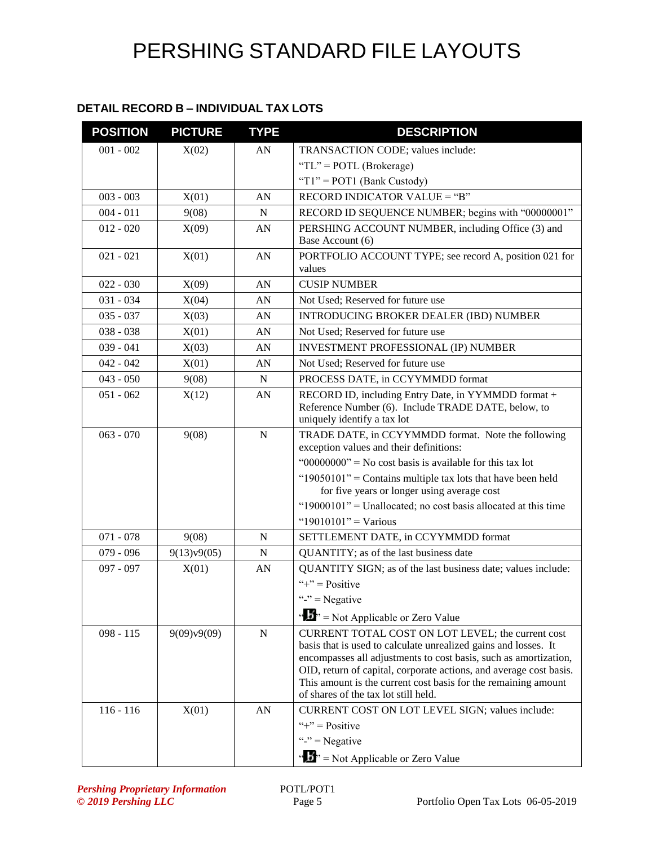### **DETAIL RECORD B – INDIVIDUAL TAX LOTS**

| <b>POSITION</b>            | <b>PICTURE</b>       | <b>TYPE</b> | <b>DESCRIPTION</b>                                                                                                                                                                                                                                                                                                                                                                                                          |
|----------------------------|----------------------|-------------|-----------------------------------------------------------------------------------------------------------------------------------------------------------------------------------------------------------------------------------------------------------------------------------------------------------------------------------------------------------------------------------------------------------------------------|
| $001 - 002$                | X(02)                | AN          | TRANSACTION CODE; values include:                                                                                                                                                                                                                                                                                                                                                                                           |
|                            |                      |             | "TL" = POTL (Brokerage)                                                                                                                                                                                                                                                                                                                                                                                                     |
|                            |                      |             | " $T1$ " = POT1 (Bank Custody)                                                                                                                                                                                                                                                                                                                                                                                              |
| $003 - 003$                | X(01)                | AN          | <b>RECORD INDICATOR VALUE = "B"</b>                                                                                                                                                                                                                                                                                                                                                                                         |
| $004 - 011$                | 9(08)                | N           | RECORD ID SEQUENCE NUMBER; begins with "00000001"                                                                                                                                                                                                                                                                                                                                                                           |
| $012 - 020$                | X(09)                | AN          | PERSHING ACCOUNT NUMBER, including Office (3) and<br>Base Account (6)                                                                                                                                                                                                                                                                                                                                                       |
| $021 - 021$                | X(01)                | AN          | PORTFOLIO ACCOUNT TYPE; see record A, position 021 for<br>values                                                                                                                                                                                                                                                                                                                                                            |
| $022 - 030$                | X(09)                | AN          | <b>CUSIP NUMBER</b>                                                                                                                                                                                                                                                                                                                                                                                                         |
| $031 - 034$                | X(04)                | AN          | Not Used; Reserved for future use                                                                                                                                                                                                                                                                                                                                                                                           |
| $035 - 037$                | X(03)                | AN          | INTRODUCING BROKER DEALER (IBD) NUMBER                                                                                                                                                                                                                                                                                                                                                                                      |
| $038 - 038$                | X(01)                | AN          | Not Used; Reserved for future use                                                                                                                                                                                                                                                                                                                                                                                           |
| $039 - 041$                | X(03)                | AN          | <b>INVESTMENT PROFESSIONAL (IP) NUMBER</b>                                                                                                                                                                                                                                                                                                                                                                                  |
| $042 - 042$                | X(01)                | AN          | Not Used; Reserved for future use                                                                                                                                                                                                                                                                                                                                                                                           |
| $043 - 050$                | 9(08)                | $\mathbf N$ | PROCESS DATE, in CCYYMMDD format                                                                                                                                                                                                                                                                                                                                                                                            |
| $051 - 062$                | X(12)                | AN          | RECORD ID, including Entry Date, in YYMMDD format +<br>Reference Number (6). Include TRADE DATE, below, to<br>uniquely identify a tax lot                                                                                                                                                                                                                                                                                   |
| $063 - 070$                | 9(08)                | ${\bf N}$   | TRADE DATE, in CCYYMMDD format. Note the following<br>exception values and their definitions:<br>" $00000000$ " = No cost basis is available for this tax lot<br>"19050101" = Contains multiple tax lots that have been held<br>for five years or longer using average cost<br>"19000101" = Unallocated; no cost basis allocated at this time                                                                               |
|                            |                      |             | " $19010101"$ = Various                                                                                                                                                                                                                                                                                                                                                                                                     |
| $071 - 078$                | 9(08)                | N           | SETTLEMENT DATE, in CCYYMMDD format                                                                                                                                                                                                                                                                                                                                                                                         |
| $079 - 096$                | 9(13)v9(05)          | $\mathbf N$ | QUANTITY; as of the last business date                                                                                                                                                                                                                                                                                                                                                                                      |
| $097 - 097$                | X(01)                | AN          | QUANTITY SIGN; as of the last business date; values include:<br>"+" = $Positive$<br>"-" = Negative<br>" $\mathbf{F}$ " = Not Applicable or Zero Value                                                                                                                                                                                                                                                                       |
| $098 - 115$<br>$116 - 116$ | 9(09)v9(09)<br>X(01) | N<br>AN     | CURRENT TOTAL COST ON LOT LEVEL; the current cost<br>basis that is used to calculate unrealized gains and losses. It<br>encompasses all adjustments to cost basis, such as amortization,<br>OID, return of capital, corporate actions, and average cost basis.<br>This amount is the current cost basis for the remaining amount<br>of shares of the tax lot still held.<br>CURRENT COST ON LOT LEVEL SIGN; values include: |
|                            |                      |             | "+" = $Positive$<br>" $v =$ Negative<br>" $\mathbf{F}$ " = Not Applicable or Zero Value                                                                                                                                                                                                                                                                                                                                     |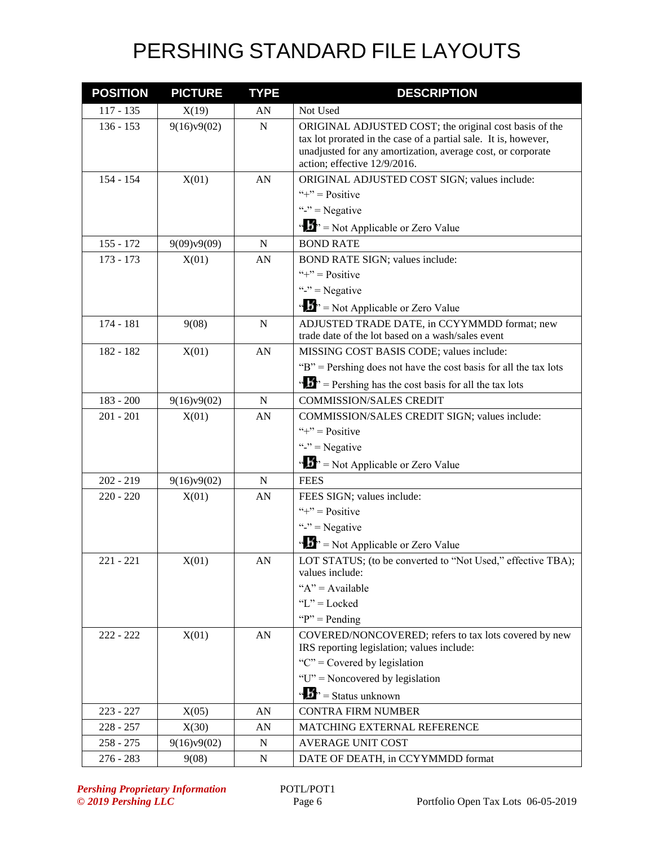| <b>POSITION</b> | <b>PICTURE</b> | <b>TYPE</b> | <b>DESCRIPTION</b>                                                                                                                                                                                                       |
|-----------------|----------------|-------------|--------------------------------------------------------------------------------------------------------------------------------------------------------------------------------------------------------------------------|
| $117 - 135$     | X(19)          | AN          | Not Used                                                                                                                                                                                                                 |
| $136 - 153$     | 9(16)v9(02)    | $\mathbf N$ | ORIGINAL ADJUSTED COST; the original cost basis of the<br>tax lot prorated in the case of a partial sale. It is, however,<br>unadjusted for any amortization, average cost, or corporate<br>action; effective 12/9/2016. |
| 154 - 154       | X(01)          | AN          | ORIGINAL ADJUSTED COST SIGN; values include:                                                                                                                                                                             |
|                 |                |             | "+" = $Positive$                                                                                                                                                                                                         |
|                 |                |             | "-" = Negative                                                                                                                                                                                                           |
|                 |                |             | " $\mathbf{F}$ " = Not Applicable or Zero Value                                                                                                                                                                          |
| $155 - 172$     | 9(09)v9(09)    | ${\bf N}$   | <b>BOND RATE</b>                                                                                                                                                                                                         |
| $173 - 173$     | X(01)          | AN          | BOND RATE SIGN; values include:                                                                                                                                                                                          |
|                 |                |             | "+" = $Positive$                                                                                                                                                                                                         |
|                 |                |             | "-" $=$ Negative                                                                                                                                                                                                         |
|                 |                |             | " $\mathbf{F}$ " = Not Applicable or Zero Value                                                                                                                                                                          |
| 174 - 181       | 9(08)          | ${\bf N}$   | ADJUSTED TRADE DATE, in CCYYMMDD format; new<br>trade date of the lot based on a wash/sales event                                                                                                                        |
| 182 - 182       | X(01)          | AN          | MISSING COST BASIS CODE; values include:                                                                                                                                                                                 |
|                 |                |             | "B" = Pershing does not have the cost basis for all the tax lots                                                                                                                                                         |
|                 |                |             | $\cdots$ $\cdots$ Pershing has the cost basis for all the tax lots                                                                                                                                                       |
| $183 - 200$     | 9(16)v9(02)    | N           | <b>COMMISSION/SALES CREDIT</b>                                                                                                                                                                                           |
| $201 - 201$     | X(01)          | AN          | COMMISSION/SALES CREDIT SIGN; values include:                                                                                                                                                                            |
|                 |                |             | "+" = $Positive$                                                                                                                                                                                                         |
|                 |                |             | "-" $=$ Negative                                                                                                                                                                                                         |
|                 |                |             | " $\mathbf{F}$ " = Not Applicable or Zero Value                                                                                                                                                                          |
| $202 - 219$     | 9(16)v9(02)    | $\mathbf N$ | <b>FEES</b>                                                                                                                                                                                                              |
| $220 - 220$     | X(01)          | AN          | FEES SIGN; values include:                                                                                                                                                                                               |
|                 |                |             | "+" = $Positive$                                                                                                                                                                                                         |
|                 |                |             | "-" $=$ Negative                                                                                                                                                                                                         |
|                 |                |             | " $B$ " = Not Applicable or Zero Value                                                                                                                                                                                   |
| $221 - 221$     | X(01)          | AN          | LOT STATUS; (to be converted to "Not Used," effective TBA);<br>values include:                                                                                                                                           |
|                 |                |             | " $A$ " = Available                                                                                                                                                                                                      |
|                 |                |             | " $L$ " = Locked                                                                                                                                                                                                         |
|                 |                |             | " $P$ " = Pending"                                                                                                                                                                                                       |
| $222 - 222$     | X(01)          | AN          | COVERED/NONCOVERED; refers to tax lots covered by new                                                                                                                                                                    |
|                 |                |             | IRS reporting legislation; values include:                                                                                                                                                                               |
|                 |                |             | " $C$ " = Covered by legislation                                                                                                                                                                                         |
|                 |                |             | " $U$ " = Noncovered by legislation                                                                                                                                                                                      |
|                 |                |             | " $\mathbf{b}$ " = Status unknown                                                                                                                                                                                        |
| $223 - 227$     | X(05)          | AN          | <b>CONTRA FIRM NUMBER</b>                                                                                                                                                                                                |
| $228 - 257$     | X(30)          | AN          | MATCHING EXTERNAL REFERENCE                                                                                                                                                                                              |
| $258 - 275$     | 9(16)v9(02)    | N           | <b>AVERAGE UNIT COST</b>                                                                                                                                                                                                 |
| $276 - 283$     | 9(08)          | ${\bf N}$   | DATE OF DEATH, in CCYYMMDD format                                                                                                                                                                                        |

**Pershing Proprietary Information** POTL/POT1<br>
© 2019 Pershing LLC Page 6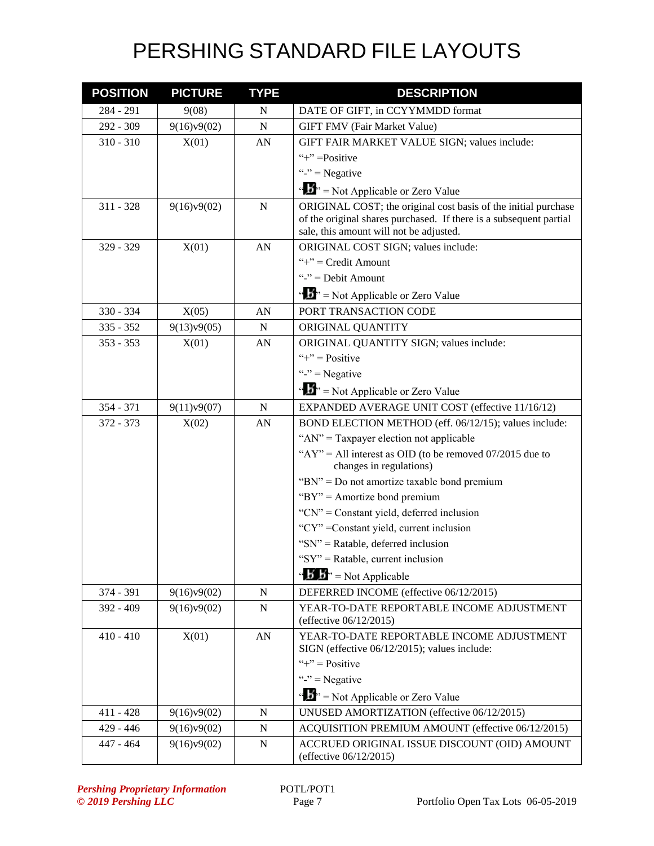| <b>POSITION</b> | <b>PICTURE</b> | <b>TYPE</b> | <b>DESCRIPTION</b>                                                                                                                                                              |
|-----------------|----------------|-------------|---------------------------------------------------------------------------------------------------------------------------------------------------------------------------------|
| $284 - 291$     | 9(08)          | N           | DATE OF GIFT, in CCYYMMDD format                                                                                                                                                |
| 292 - 309       | 9(16)v9(02)    | $\mathbf N$ | <b>GIFT FMV (Fair Market Value)</b>                                                                                                                                             |
| $310 - 310$     | X(01)          | AN          | GIFT FAIR MARKET VALUE SIGN; values include:                                                                                                                                    |
|                 |                |             | "+" = Positive                                                                                                                                                                  |
|                 |                |             | "-" = Negative                                                                                                                                                                  |
|                 |                |             | " $\mathbf{F}$ " = Not Applicable or Zero Value                                                                                                                                 |
| $311 - 328$     | 9(16)v9(02)    | N           | ORIGINAL COST; the original cost basis of the initial purchase<br>of the original shares purchased. If there is a subsequent partial<br>sale, this amount will not be adjusted. |
| $329 - 329$     | X(01)          | AN          | ORIGINAL COST SIGN; values include:                                                                                                                                             |
|                 |                |             | "+" = $Credit$ Amount                                                                                                                                                           |
|                 |                |             | "-" = Debit Amount                                                                                                                                                              |
|                 |                |             | " $\mathbf{F}$ " = Not Applicable or Zero Value                                                                                                                                 |
| 330 - 334       | X(05)          | AN          | PORT TRANSACTION CODE                                                                                                                                                           |
| $335 - 352$     | 9(13)v9(05)    | N           | ORIGINAL QUANTITY                                                                                                                                                               |
| $353 - 353$     | X(01)          | AN          | ORIGINAL QUANTITY SIGN; values include:                                                                                                                                         |
|                 |                |             | "+" = $Positive$                                                                                                                                                                |
|                 |                |             | "-" $=$ Negative                                                                                                                                                                |
|                 |                |             | " $\mathbf{F}$ " = Not Applicable or Zero Value                                                                                                                                 |
| $354 - 371$     | 9(11)v9(07)    | $\mathbf N$ | EXPANDED AVERAGE UNIT COST (effective 11/16/12)                                                                                                                                 |
| $372 - 373$     | X(02)          | AN          | BOND ELECTION METHOD (eff. 06/12/15); values include:                                                                                                                           |
|                 |                |             | " $AN$ " = Taxpayer election not applicable                                                                                                                                     |
|                 |                |             | " $AY$ " = All interest as OID (to be removed 07/2015 due to<br>changes in regulations)                                                                                         |
|                 |                |             | " $BN$ " = Do not amortize taxable bond premium                                                                                                                                 |
|                 |                |             | "BY" = Amortize bond premium                                                                                                                                                    |
|                 |                |             | "CN" = Constant yield, deferred inclusion                                                                                                                                       |
|                 |                |             | "CY" = Constant yield, current inclusion                                                                                                                                        |
|                 |                |             | "SN" = Ratable, deferred inclusion                                                                                                                                              |
|                 |                |             | " $SY'' =$ Ratable, current inclusion                                                                                                                                           |
|                 |                |             | " $\mathbf{B}'$ $\mathbf{B}$ " = Not Applicable                                                                                                                                 |
| 374 - 391       | 9(16)v9(02)    | ${\bf N}$   | DEFERRED INCOME (effective 06/12/2015)                                                                                                                                          |
| 392 - 409       | 9(16)v9(02)    | ${\bf N}$   | YEAR-TO-DATE REPORTABLE INCOME ADJUSTMENT<br>(effective 06/12/2015)                                                                                                             |
| $410 - 410$     | X(01)          | AN          | YEAR-TO-DATE REPORTABLE INCOME ADJUSTMENT<br>SIGN (effective 06/12/2015); values include:                                                                                       |
|                 |                |             | "+" = $Positive$                                                                                                                                                                |
|                 |                |             | "-" $=$ Negative                                                                                                                                                                |
|                 |                |             | " $\mathbf{S}$ " = Not Applicable or Zero Value                                                                                                                                 |
| $411 - 428$     | 9(16)v9(02)    | N           | UNUSED AMORTIZATION (effective 06/12/2015)                                                                                                                                      |
| $429 - 446$     | 9(16)v9(02)    | $\mathbf N$ | ACQUISITION PREMIUM AMOUNT (effective 06/12/2015)                                                                                                                               |
| 447 - 464       | 9(16)v9(02)    | N           | ACCRUED ORIGINAL ISSUE DISCOUNT (OID) AMOUNT<br>(effective 06/12/2015)                                                                                                          |

**Pershing Proprietary Information** POTL/POT1<br>
© 2019 Pershing LLC Page 7